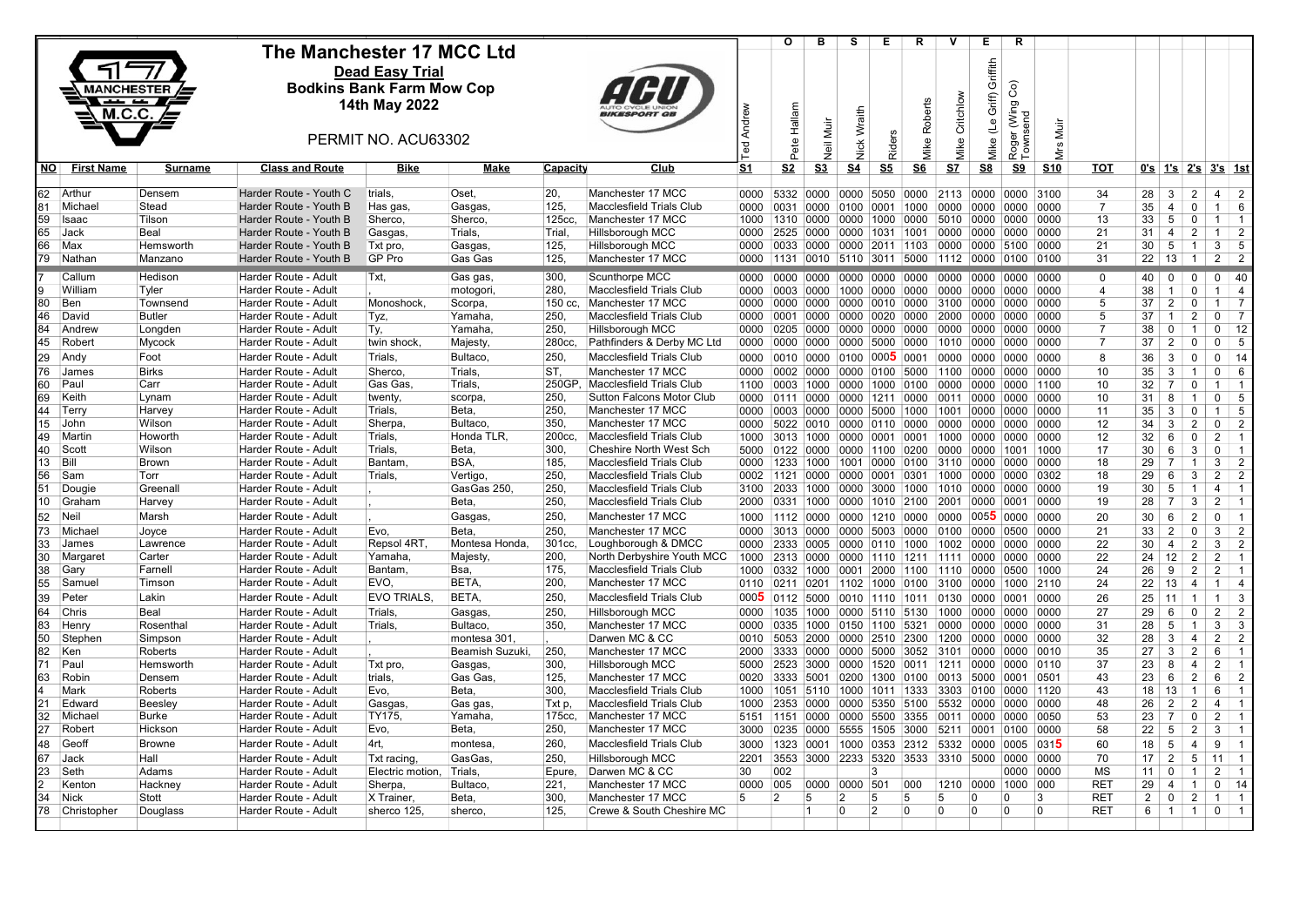|                                |                      | The Manchester 17 MCC Ltd                        |                                  |                          |                 |                                                      |                | O                 | в                 | s              | Е.                                                                       | R                             | v              | Е.                        | R.                          |                |                      |                 |                                  |                                                       |                         |
|--------------------------------|----------------------|--------------------------------------------------|----------------------------------|--------------------------|-----------------|------------------------------------------------------|----------------|-------------------|-------------------|----------------|--------------------------------------------------------------------------|-------------------------------|----------------|---------------------------|-----------------------------|----------------|----------------------|-----------------|----------------------------------|-------------------------------------------------------|-------------------------|
|                                |                      |                                                  | <b>Dead Easy Trial</b>           |                          |                 |                                                      |                |                   |                   |                |                                                                          |                               |                | Griffith                  |                             |                |                      |                 |                                  |                                                       |                         |
|                                | <b>MANCHESTER</b>    |                                                  | <b>Bodkins Bank Farm Mow Cop</b> |                          |                 |                                                      |                |                   |                   |                |                                                                          |                               |                |                           | Roger (Wing Co)<br>Townsend |                |                      |                 |                                  |                                                       |                         |
|                                | -- -                 |                                                  | 14th May 2022                    |                          |                 |                                                      |                |                   |                   |                |                                                                          |                               | Mike Critchlow | Griff)                    |                             |                |                      |                 |                                  |                                                       |                         |
|                                | <b>M.C.C.</b>        |                                                  |                                  |                          |                 |                                                      | Andrew         | Pete Hallam       |                   | Nick Wraith    |                                                                          | Mike Roberts                  |                |                           |                             |                |                      |                 |                                  |                                                       |                         |
|                                |                      |                                                  | PERMIT NO. ACU63302              |                          |                 |                                                      |                |                   | Neil Muir         |                |                                                                          |                               |                | $\overline{\mathsf{f}}$   |                             | Mrs Muir       |                      |                 |                                  |                                                       |                         |
|                                |                      |                                                  |                                  |                          |                 |                                                      | <b>Ted</b>     |                   |                   |                | Riders                                                                   |                               |                | Mike                      |                             |                |                      |                 |                                  |                                                       |                         |
| <u>NO</u><br><b>First Name</b> | Surname              | <b>Class and Route</b>                           | Bike                             | Make                     | <b>Capacity</b> | Club                                                 | S <sub>1</sub> | S <sub>2</sub>    | S <sub>3</sub>    | S <sub>4</sub> | S <sub>5</sub>                                                           | S6                            | S <sub>7</sub> | $\underline{\mathbf{S8}}$ | S <sub>9</sub>              | <b>S10</b>     | тот                  |                 |                                  | <u>0's 1's 2's 3's 1st</u>                            |                         |
|                                |                      |                                                  |                                  |                          |                 |                                                      |                |                   |                   |                |                                                                          |                               |                |                           |                             |                |                      |                 |                                  |                                                       |                         |
| 62 Arthur                      | Densem               | Harder Route - Youth C                           | trials,                          | Oset.                    | 20,             | Manchester 17 MCC                                    | 0000           |                   | 5332 0000         |                | 0000 5050 0000 2113 0000 0000 3100                                       |                               |                |                           |                             |                | 34                   | 28              | 3                                | 2<br>$\overline{4}$                                   | $\overline{2}$          |
| 81<br>Michael                  | Stead                | Harder Route - Youth B                           | Has gas,                         | Gasgas,                  | 125,            | <b>Macclesfield Trials Club</b>                      | 0000           | 0031              | 0000              | 0100           | 0001 1000                                                                |                               | 0000           | 0000                      | 0000 0000                   |                | $\overline{7}$       | 35              | $\overline{4}$                   | $\mathbf 0$<br>$\mathbf{1}$                           | 6                       |
| 59<br>Isaac                    | Tilson               | Harder Route - Youth B                           | Sherco,                          | Sherco,                  | 125cc.          | Manchester 17 MCC                                    | 1000           | 1310 0000         |                   | 0000           |                                                                          | 1000 0000 5010 0000 0000 0000 |                |                           |                             |                | 13                   | 33              | 5                                | $\mathbf 0$<br>$\mathbf{1}$                           | $\overline{1}$          |
| 65<br>Jack<br>66<br>Max        | Beal<br>Hemsworth    | Harder Route - Youth B<br>Harder Route - Youth B | Gasgas,<br>Txt pro,              | Trials,<br>Gasgas,       | Trial,<br>125,  | <b>Hillsborough MCC</b><br><b>Hillsborough MCC</b>   | 0000<br>0000   | 2525 0000         | 0033 0000         |                | 0000 1031 1001 0000 0000 0000 0000<br>0000 2011 1103 0000 0000 5100 0000 |                               |                |                           |                             |                | 21<br>21             | 31<br>30        | $\overline{4}$<br>5              | $\overline{2}$<br>$\mathbf{1}$<br>$\overline{1}$<br>3 | $\overline{2}$<br>5     |
| 79<br>Nathan                   | Manzano              | Harder Route - Youth B                           | GP Pro                           | Gas Gas                  | 125,            | Manchester 17 MCC                                    | 0000           | 1131              | 0010              |                | 5110 3011 5000 1112 0000 0100 0100                                       |                               |                |                           |                             |                | 31                   |                 | $22 \mid 13 \mid 1$              | 2                                                     | $\overline{2}$          |
|                                |                      |                                                  |                                  |                          |                 |                                                      |                |                   |                   |                |                                                                          |                               |                |                           |                             |                |                      |                 |                                  |                                                       |                         |
| Callum<br>9                    | Hedison              | Harder Route - Adult                             | Txt,                             | Gas gas,                 | 300,            | Scunthorpe MCC                                       | 0000           | 0000              | 0000              |                | 0000 0000 0000                                                           |                               |                |                           | 0000 0000 0000 0000         |                | $\mathbf 0$          | 40 <sup>1</sup> | $\Omega$                         | $\mathbf 0$                                           | $\Omega$<br>40          |
| William<br>Ben                 | Tyler<br>Townsend    | Harder Route - Adult<br>Harder Route - Adult     | Monoshock.                       | motogori,                | 280,<br>150 cc. | <b>Macclesfield Trials Club</b><br>Manchester 17 MCC | 0000<br>0000   | 0003              | 0000<br>0000 0000 |                | 1000 0000 0000                                                           |                               | 0000           | 0000                      | 0000 0000                   |                | $\overline{4}$<br>-5 | 38<br>37        | $\overline{1}$<br>$\overline{2}$ | $\mathbf 0$<br>$\mathbf{1}$<br>$\mathbf{1}$           | $\overline{4}$<br>-7    |
| 80<br>46<br>David              | Butler               | Harder Route - Adult                             | Tyz,                             | Scorpa,<br>Yamaha,       | 250.            | <b>Macclesfield Trials Club</b>                      | 0000           | 0001              | 0000              | 0000           | 0000 0010 0000 3100 0000 0000 0000<br>0020 0000                          |                               | 2000           | 0000                      | 0000 0000                   |                | 5                    | 37              | $\overline{1}$                   | $\mathbf 0$<br>$\overline{2}$<br>$\mathbf 0$          | $\overline{7}$          |
| 84<br>Andrew                   | Longden              | Harder Route - Adult                             | Ty,                              | Yamaha                   | 250,            | <b>Hillsborough MCC</b>                              | 0000           | 0205 0000         |                   |                | 0000 0000 0000 0000                                                      |                               |                |                           | 0000 0000 0000              |                | $\overline{7}$       | 38              | $\mathbf 0$                      | $\overline{1}$<br>$\mathbf{0}$                        | 12                      |
| 45<br>Robert                   | Mycock               | Harder Route - Adult                             | twin shock.                      | Majesty,                 | 280cc.          | Pathfinders & Derby MC Ltd                           | 0000           | 0000              | 0000              | 0000           | 5000 0000                                                                |                               | 1010 0000      |                           | 0000 0000                   |                | $\overline{7}$       | 37              | $\overline{2}$                   | $\mathbf 0$<br>0                                      | 5                       |
| 29<br>Andy                     | Foot                 | Harder Route - Adult                             | Trials,                          | Bultaco,                 | 250,            | <b>Macclesfield Trials Club</b>                      | 0000           | 0010 0000         |                   |                | 0100 0005 0001                                                           |                               | 0000           | 0000                      | 0000 0000                   |                | 8                    | 36              | 3                                | $\mathbf 0$<br>$\mathbf 0$                            | 14                      |
| 76<br>James                    | <b>Birks</b>         | Harder Route - Adult                             | Sherco,                          | Trials,                  | ST.             | Manchester 17 MCC                                    | 0000           | 0002 0000         |                   |                | 0000 0100 5000                                                           |                               | 1100           | 0000                      | 0000 0000                   |                | 10                   | 35              | 3                                | $\overline{1}$<br>$\mathbf 0$                         | 6                       |
| 60<br>Paul                     | Carr                 | Harder Route - Adult                             | Gas Gas.                         | Trials.                  | 250GP.          | Macclesfield Trials Club                             | 1100           | 0003              | 1000              | 0000           | 1000                                                                     | 0100                          | 0000           | 0000                      | 0000 1100                   |                | 10                   | 32              | 7                                | $\mathbf 0$<br>$\mathbf{1}$                           | $\overline{1}$          |
| 69<br>Keith                    | Lynam                | Harder Route - Adult                             | twenty,                          | scorpa,                  | 250,            | <b>Sutton Falcons Motor Club</b>                     | 0000           | 0111              | 0000              | 0000           | 1211 0000                                                                |                               | 0011           | 0000                      | 0000 0000                   |                | 10                   | 31              | 8                                | $\overline{1}$<br>$\mathbf 0$                         | 5                       |
| 44<br>Terry                    | Harvey               | Harder Route - Adult                             | Trials,                          | Beta,                    | 250             | Manchester 17 MCC                                    | 0000           | 0003              | 0000              | 0000           | 5000                                                                     | 1000                          | 1001           | 0000                      | 0000 0000                   |                | 11                   | 35              | 3                                | $\mathbf 0$<br>$\mathbf{1}$                           | 5                       |
| 15<br>John                     | Wilson               | Harder Route - Adult                             | Sherpa,                          | Bultaco,                 | 350.            | Manchester 17 MCC                                    | 0000           |                   | 5022 0010         |                | 0000 0110 0000                                                           |                               | 0000           | 0000                      | 0000 0000                   |                | 12                   | 34              | 3                                | $\overline{2}$<br>$\mathbf 0$                         | $\overline{2}$          |
| Martin<br>49                   | Howorth              | Harder Route - Adult                             | Trials,                          | Honda TLR,               | 200cc.          | <b>Macclesfield Trials Club</b>                      | 1000           | 3013              | 1000              |                | 0000 0001 0001                                                           |                               |                |                           | $1000$ 0000 0000 0000       |                | 12                   | 32              | 6                                | $\mathbf 0$<br>2                                      | $\overline{1}$          |
| 40<br>Scott                    | Wilson               | Harder Route - Adult                             | Trials,                          | Beta.                    | 300,            | Cheshire North West Sch                              | 5000           | 0122              | 0000              |                | 0000 1100                                                                | 0200                          | 0000           | 0000                      | 1001 1000                   |                | 17                   | 30              | 6                                | $\mathbf{3}$<br>$\mathbf 0$                           |                         |
| 13<br>Bill                     | Brown                | Harder Route - Adult                             | Bantam,                          | BSA,                     | 185,            | <b>Macclesfield Trials Club</b>                      | 0000           | 1233              | 1000              |                | 1001 0000 0100 3110 0000 0000 0000                                       |                               |                |                           |                             |                | 18                   | 29              | $\overline{7}$                   | $\mathbf{1}$<br>3                                     | $\overline{2}$          |
| 56<br>Sam                      | Torr                 | Harder Route - Adult                             | Trials,                          | Vertigo,                 | 250.            | <b>Macclesfield Trials Club</b>                      | 0002           | 1121              | 0000              |                | 0000 0001 0301                                                           |                               | 1000           | 0000                      | 0000 0302                   |                | 18                   | 29              | 6                                | 3<br>$\overline{2}$                                   | $\overline{2}$          |
| 51<br>Dougie                   | Greenall             | Harder Route - Adult                             |                                  | GasGas 250.              | 250.            | <b>Macclesfield Trials Club</b>                      | 3100           | 2033              | 1000              |                | 0000 3000 1000                                                           |                               |                |                           | 1010 0000 0000 0000         |                | 19                   | 30              | 5                                | $\overline{1}$<br>$\overline{4}$                      | $\overline{1}$          |
| 10 Graham                      | Harvey               | Harder Route - Adult                             |                                  | Beta,                    | 250,            | <b>Macclesfield Trials Club</b>                      | 2000           | 0331 1000         |                   | 0000           | 1010 2100                                                                |                               | 2001           | 0000                      | 0001 0000                   |                | 19                   | 28              | $\overline{7}$                   | 3<br>2                                                | $\overline{\mathbf{1}}$ |
| 52<br>Neil                     | Marsh                | Harder Route - Adult                             |                                  | Gasgas,                  | 250,            | Manchester 17 MCC                                    | 1000           | 1112 0000         |                   | 0000           | 1210 0000                                                                |                               | 0000           | 0055                      | 0000 0000                   |                | 20                   | 30              | 6                                | 2<br>$\mathbf 0$                                      | $\overline{1}$          |
| 73<br>Michael                  | Joyce                | Harder Route - Adult                             | Evo,                             | Beta,                    | 250,            | Manchester 17 MCC                                    | 0000           | 3013 0000         |                   |                | 0000 5003 0000                                                           |                               | 0100           | 0000                      | 0500 0000                   |                | 21                   | 33              | $\overline{2}$                   | $\mathbf 0$<br>3                                      | $\overline{2}$          |
| 33<br>James                    | Lawrence             | Harder Route - Adult                             | Repsol 4RT                       | Montesa Honda,           | 301cc           | Loughborough & DMCC                                  | 0000           | 2333              | 0005              |                | 0000 0110 1000                                                           |                               | 1002           | 0000                      | 0000 0000                   |                | 22                   | 30              | $\overline{4}$                   | $\overline{2}$<br>3                                   | $\overline{2}$          |
| 30<br>Margaret                 | Carter               | Harder Route - Adult                             | Yamaha.                          | Majesty,                 | 200.            | North Derbyshire Youth MCC                           | 1000           | 2313 0000         |                   |                | 0000 1110 1211 1111 0000 0000 0000                                       |                               |                |                           |                             |                | 22                   | 24              | 12                               | $\overline{2}$<br>$\overline{2}$                      | $\overline{1}$          |
| 38<br>Gary<br>55               | Farnell              | Harder Route - Adult                             | Bantam.<br>EVO,                  | Bsa.                     | 175.<br>200,    | <b>Macclesfield Trials Club</b><br>Manchester 17 MCC | 1000           | 0332              | 1000              | 0001           | 2000                                                                     | 1100                          | 1110           | 0000                      | 0500 1000                   |                | 24<br>24             | 26<br>22        | 9<br>13                          | 2<br>2<br>$\overline{4}$<br>$\mathbf{1}$              | -1<br>$\overline{4}$    |
| Samuel                         | Timson               | Harder Route - Adult                             |                                  | BETA,                    |                 |                                                      | 0110           | 0211 0201         |                   |                | 1102  1000  0100  3100  0000  1000  2110                                 |                               |                |                           |                             |                |                      |                 |                                  |                                                       |                         |
| 39<br>Peter                    | Lakin                | Harder Route - Adult                             | EVO TRIALS,                      | BETA,                    | 250,            | <b>Macclesfield Trials Club</b>                      | 0005           | 0112 5000         |                   |                | 0010 1110 1011                                                           |                               | 0130           | 0000                      | 0001 0000                   |                | 26                   | 25              | 11                               | $\overline{1}$<br>$\mathbf{1}$                        | -3                      |
| Chris<br>64<br>83              | Beal                 | Harder Route - Adult                             | Trials.                          | Gasgas,                  | 250.<br>350,    | <b>Hillsborough MCC</b><br>Manchester 17 MCC         | 0000           | 1035              | 1000              |                | 0000 5110 5130                                                           |                               | 1000           | 0000                      | 0000 0000                   |                | 27<br>31             | 29              | 6                                | $\mathbf 0$<br>2<br>$\overline{1}$                    | $\overline{2}$<br>-3    |
| Henry<br>50<br>Stephen         | Rosenthal<br>Simpsor | Harder Route - Adult<br>Harder Route - Adult     | Trials,                          | Bultaco.<br>montesa 301, |                 | Darwen MC & CC                                       | 0000<br>0010   | 0335 1000<br>5053 | 2000              |                | 0150 1100 5321<br>0000 2510 2300                                         |                               | 0000<br>1200   | 0000<br>0000              | 0000 0000<br>0000 0000      |                | 32                   | 28<br>28        | 5<br>3                           | 3<br>$\overline{4}$<br>$\overline{2}$                 | $\overline{2}$          |
| 82<br>Ken                      | Roberts              | Harder Route - Adult                             |                                  | Beamish Suzuki,          | 250,            | Manchester 17 MCC                                    | 2000           | 3333 0000         |                   |                | 0000 5000 3052                                                           |                               | 3101           | 0000                      | 0000 0010                   |                | 35                   | 27              | 3                                | $\overline{2}$<br>6                                   | $\overline{1}$          |
| 71<br>Paul                     | Hemsworth            | Harder Route - Adult                             | Txt pro,                         | Gasgas,                  | 300,            | <b>Hillsborough MCC</b>                              | 5000           | 2523 3000         |                   | 0000           | 1520 0011                                                                |                               |                |                           | 1211 0000 0000 0110         |                | 37                   | 23              | 8                                | $\overline{4}$<br>$\overline{2}$                      | $\overline{1}$          |
| 63<br>Robin                    | Densem               | Harder Route - Adult                             | trials,                          | Gas Gas,                 | 125,            | Manchester 17 MCC                                    | 0020           | 3333 5001         |                   |                | 0200 1300 0100                                                           |                               | 0013 5000      |                           | 0001 0501                   |                | 43                   | 23              | 6                                | 2<br>6                                                | $\overline{2}$          |
| Mark                           | Roberts              | Harder Route - Adult                             | Evo,                             | Beta,                    | 300,            | <b>Macclesfield Trials Club</b>                      | 1000           |                   | 1051 5110         | 1000           |                                                                          | 1011 1333 3303 0100 0000 1120 |                |                           |                             |                | 43                   | 18              | 13                               | 6<br>$\overline{1}$                                   | $\overline{1}$          |
| 21<br>Edward                   | Beesley              | Harder Route - Adult                             | Gasgas,                          | Gas gas,                 | Txt p,          | <b>Macclesfield Trials Club</b>                      | 1000           | 2353              | 0000              | 0000           | 5350 5100                                                                |                               | 5532           | 0000                      | 0000 0000                   |                | 48                   | 26              | $\overline{2}$                   | $\overline{2}$<br>4                                   | $\overline{1}$          |
| 32<br>Michael                  | Burke                | Harder Route - Adult                             | TY175,                           | Yamaha,                  | 175cc.          | Manchester 17 MCC                                    | 5151           | 1151              | 0000              | 0000           | 5500 3355                                                                |                               |                |                           | 0011 0000 0000 0050         |                | 53                   | 23              | $\overline{7}$                   | $\overline{0}$<br>2                                   | $\overline{1}$          |
| 27<br>Robert                   | Hickson              | Harder Route - Adult                             | Evo,                             | <b>Beta</b>              | 250,            | Manchester 17 MCC                                    | 3000           |                   | 0235 0000         |                | 5555 1505 3000                                                           |                               | 5211 0001      |                           | 0100 0000                   |                | 58                   | 22              | $5\phantom{.0}$                  | $\overline{2}$<br>3                                   | $\overline{1}$          |
| Geoff<br>48                    | Browne               | Harder Route - Adult                             | 4rt,                             | montesa,                 | 260,            | <b>Macclesfield Trials Club</b>                      | 3000           | 1323              | 0001              | 1000           |                                                                          | 0353 2312 5332 0000           |                |                           | 0005 0315                   |                | 60                   | 18              | 5                                | $\overline{4}$<br>9                                   | $\overline{1}$          |
| 67<br>Jack                     | Hall                 | Harder Route - Adult                             | Txt racing,                      | GasGas.                  | 250,            | <b>Hillsborough MCC</b>                              | 2201           | 3553 3000         |                   |                | 2233 5320 3533 3310 5000 0000 0000                                       |                               |                |                           |                             |                | 70                   | 17              | 2                                | $5\overline{)}$<br>11                                 | $\overline{1}$          |
| 23<br>Seth                     | Adams                | Harder Route - Adult                             | Electric motion,                 | Trials,                  | Epure,          | Darwen MC & CC                                       | 30             | 002               |                   |                | 3                                                                        |                               |                |                           | 0000 0000                   |                | <b>MS</b>            | 11              | $\mathbf 0$                      | $\overline{1}$<br>2                                   | $\overline{\mathbf{1}}$ |
| Kenton                         | Hackney              | Harder Route - Adult                             | Sherpa,                          | Bultaco.                 | 221.            | Manchester 17 MCC                                    | 0000           | 005               | 0000 0000 501     |                |                                                                          | 000                           | 1210 0000      |                           | 1000 000                    |                | <b>RET</b>           | 29              | $\overline{4}$                   | $\Omega$<br>$\overline{1}$                            | -14                     |
| 34<br>Nick                     | Stott                | Harder Route - Adult                             | X Trainer.                       | Beta,                    | 300.            | Manchester 17 MCC                                    | 5              | $\overline{2}$    | 5                 | 2              | 5                                                                        | 5                             | 5              | n                         | 0                           | 3              | RE <sub>1</sub>      | $\overline{2}$  | 0                                | $\overline{2}$<br>$\mathbf{1}$                        | $\overline{1}$          |
| 78<br>Christopher              | Douglass             | Harder Route - Adult                             | sherco 125.                      | sherco,                  | 125,            | Crewe & South Cheshire MC                            |                |                   | $\vert$ 1         | $\overline{0}$ | $\overline{2}$                                                           | 10                            | $\overline{0}$ | 0                         | <b>0</b>                    | $\overline{0}$ | <b>RET</b>           | 6               | $1 \mid 1$                       |                                                       | 0<br>$\overline{1}$     |